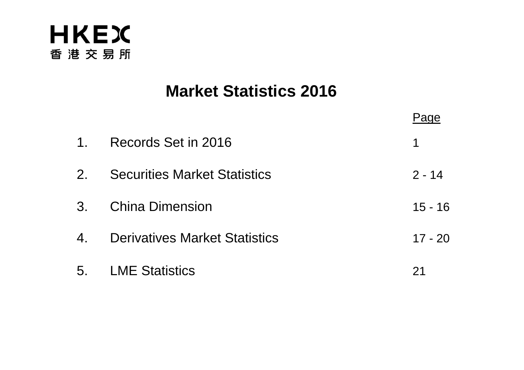

# **Market Statistics 2016**

|                      |                                      | 'age      |
|----------------------|--------------------------------------|-----------|
| 1 <sub>1</sub>       | Records Set in 2016                  | 1         |
| $2_{\cdot}$          | <b>Securities Market Statistics</b>  | $2 - 14$  |
| 3 <sub>1</sub>       | <b>China Dimension</b>               | $15 - 16$ |
| $\mathbf{4}_{\cdot}$ | <b>Derivatives Market Statistics</b> | $17 - 20$ |
| 5.                   | <b>LME Statistics</b>                | 21        |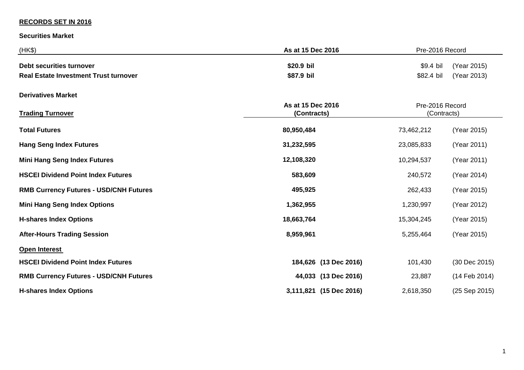#### **RECORDS SET IN 2016**

**Securities Market**

| (HK\$)                                        | As at 15 Dec 2016                | Pre-2016 Record                |               |
|-----------------------------------------------|----------------------------------|--------------------------------|---------------|
| <b>Debt securities turnover</b>               | \$20.9 bil                       | $$9.4$ bil                     | (Year 2015)   |
| <b>Real Estate Investment Trust turnover</b>  | \$87.9 bil                       | \$82.4 bil                     | (Year 2013)   |
| <b>Derivatives Market</b>                     |                                  |                                |               |
| <b>Trading Turnover</b>                       | As at 15 Dec 2016<br>(Contracts) | Pre-2016 Record<br>(Contracts) |               |
| <b>Total Futures</b>                          | 80,950,484                       | 73,462,212                     | (Year 2015)   |
| <b>Hang Seng Index Futures</b>                | 31,232,595                       | 23,085,833                     | (Year 2011)   |
| <b>Mini Hang Seng Index Futures</b>           | 12,108,320                       | 10,294,537                     | (Year 2011)   |
| <b>HSCEI Dividend Point Index Futures</b>     | 583,609                          | 240,572                        | (Year 2014)   |
| <b>RMB Currency Futures - USD/CNH Futures</b> | 495,925                          | 262,433                        | (Year 2015)   |
| <b>Mini Hang Seng Index Options</b>           | 1,362,955                        | 1,230,997                      | (Year 2012)   |
| <b>H-shares Index Options</b>                 | 18,663,764                       | 15,304,245                     | (Year 2015)   |
| <b>After-Hours Trading Session</b>            | 8,959,961                        | 5,255,464                      | (Year 2015)   |
| Open Interest                                 |                                  |                                |               |
| <b>HSCEI Dividend Point Index Futures</b>     | 184,626 (13 Dec 2016)            | 101,430                        | (30 Dec 2015) |
| <b>RMB Currency Futures - USD/CNH Futures</b> | 44,033 (13 Dec 2016)             | 23,887                         | (14 Feb 2014) |
| <b>H-shares Index Options</b>                 | 3,111,821 (15 Dec 2016)          | 2,618,350                      | (25 Sep 2015) |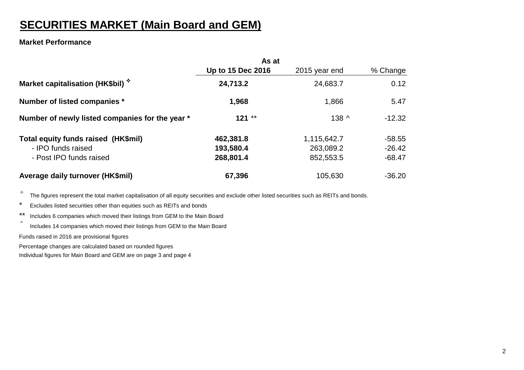# **SECURITIES MARKET (Main Board and GEM)**

#### **Market Performance**

|                                                 | As at             |                  |          |
|-------------------------------------------------|-------------------|------------------|----------|
|                                                 | Up to 15 Dec 2016 | 2015 year end    | % Change |
| Market capitalisation (HK\$bil) $\hat{y}$       | 24,713.2          | 24,683.7         | 0.12     |
| Number of listed companies *                    | 1,968             | 1,866            | 5.47     |
| Number of newly listed companies for the year * | $121**$           | 138 <sub>0</sub> | $-12.32$ |
| Total equity funds raised (HK\$mil)             | 462,381.8         | 1,115,642.7      | $-58.55$ |
| - IPO funds raised                              | 193,580.4         | 263,089.2        | $-26.42$ |
| - Post IPO funds raised                         | 268,801.4         | 852,553.5        | $-68.47$ |
| Average daily turnover (HK\$mil)                | 67,396            | 105,630          | $-36.20$ |

 $\overleftrightarrow{a}$  The figures represent the total market capitalisation of all equity securities and exclude other listed securities such as REITs and bonds.

- \* Excludes listed securities other than equities such as REITs and bonds
- \*\* Includes 6 companies which moved their listings from GEM to the Main Board
- ^ Includes 14 companies which moved their listings from GEM to the Main Board

Funds raised in 2016 are provisional figures

Percentage changes are calculated based on rounded figures

Individual figures for Main Board and GEM are on page 3 and page 4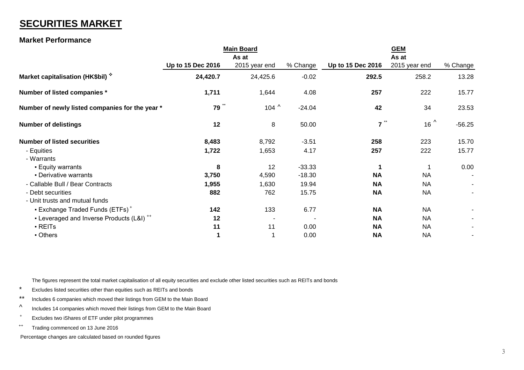# **SECURITIES MARKET**

#### **Market Performance**

|                                                      | <b>Main Board</b> |                 |          | <b>GEM</b>                    |                |          |
|------------------------------------------------------|-------------------|-----------------|----------|-------------------------------|----------------|----------|
|                                                      |                   | As at           |          |                               | As at          |          |
|                                                      | Up to 15 Dec 2016 | 2015 year end   | % Change | Up to 15 Dec 2016             | 2015 year end  | % Change |
| Market capitalisation (HK\$bil) $\hat{y}$            | 24,420.7          | 24,425.6        | $-0.02$  | 292.5                         | 258.2          | 13.28    |
| Number of listed companies *                         | 1,711             | 1,644           | 4.08     | 257                           | 222            | 15.77    |
| Number of newly listed companies for the year *      | $***$<br>79       | 104 $^{\wedge}$ | $-24.04$ | 42                            | 34             | 23.53    |
| <b>Number of delistings</b>                          | 12                | 8               | 50.00    | $\overline{7}$ $\overline{1}$ | $16^{\Lambda}$ | $-56.25$ |
| <b>Number of listed securities</b>                   | 8,483             | 8,792           | $-3.51$  | 258                           | 223            | 15.70    |
| - Equities                                           | 1,722             | 1,653           | 4.17     | 257                           | 222            | 15.77    |
| - Warrants                                           |                   |                 |          |                               |                |          |
| <b>Equity warrants</b>                               | 8                 | 12              | $-33.33$ | 1                             |                | 0.00     |
| • Derivative warrants                                | 3,750             | 4,590           | $-18.30$ | <b>NA</b>                     | <b>NA</b>      |          |
| - Callable Bull / Bear Contracts                     | 1,955             | 1,630           | 19.94    | <b>NA</b>                     | <b>NA</b>      |          |
| - Debt securities                                    | 882               | 762             | 15.75    | <b>NA</b>                     | <b>NA</b>      |          |
| - Unit trusts and mutual funds                       |                   |                 |          |                               |                |          |
| • Exchange Traded Funds (ETFs) <sup>+</sup>          | 142               | 133             | 6.77     | <b>NA</b>                     | <b>NA</b>      |          |
| - Leveraged and Inverse Products (L&I) <sup>++</sup> | 12                |                 |          | <b>NA</b>                     | <b>NA</b>      |          |
| - REITs                                              | 11                | 11              | 0.00     | <b>NA</b>                     | <b>NA</b>      |          |
| - Others                                             | 1                 |                 | 0.00     | <b>NA</b>                     | <b>NA</b>      |          |
|                                                      |                   |                 |          |                               |                |          |

The figures represent the total market capitalisation of all equity securities and exclude other listed securities such as REITs and bonds

- \* Excludes listed securities other than equities such as REITs and bonds
- \*\* Includes 6 companies which moved their listings from GEM to the Main Board
- ^ Includes 14 companies which moved their listings from GEM to the Main Board
- + Excludes two iShares of ETF under pilot programmes
- ++ Trading commenced on 13 June 2016

Percentage changes are calculated based on rounded figures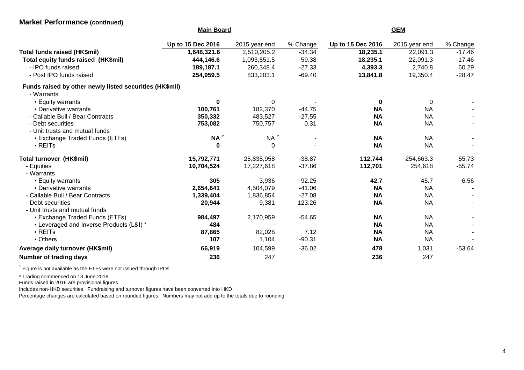#### **Market Performance (continued)**

|                                                         | <b>Main Board</b> |               |          | <b>GEM</b>        |               |          |
|---------------------------------------------------------|-------------------|---------------|----------|-------------------|---------------|----------|
|                                                         | Up to 15 Dec 2016 | 2015 year end | % Change | Up to 15 Dec 2016 | 2015 year end | % Change |
| Total funds raised (HK\$mil)                            | 1,648,321.6       | 2,510,205.2   | $-34.34$ | 18,235.1          | 22,091.3      | $-17.46$ |
| Total equity funds raised (HK\$mil)                     | 444,146.6         | 1,093,551.5   | $-59.38$ | 18,235.1          | 22,091.3      | $-17.46$ |
| - IPO funds raised                                      | 189,187.1         | 260,348.4     | $-27.33$ | 4,393.3           | 2,740.8       | 60.29    |
| - Post IPO funds raised                                 | 254,959.5         | 833,203.1     | $-69.40$ | 13,841.8          | 19,350.4      | $-28.47$ |
| Funds raised by other newly listed securities (HK\$mil) |                   |               |          |                   |               |          |
| - Warrants                                              |                   |               |          |                   |               |          |
| <b>Equity warrants</b>                                  | 0                 | $\Omega$      |          | $\bf{0}$          | $\Omega$      |          |
| • Derivative warrants                                   | 100,761           | 182,370       | $-44.75$ | <b>NA</b>         | <b>NA</b>     |          |
| - Callable Bull / Bear Contracts                        | 350,332           | 483,527       | $-27.55$ | <b>NA</b>         | <b>NA</b>     |          |
| - Debt securities                                       | 753,082           | 750,757       | 0.31     | <b>NA</b>         | <b>NA</b>     |          |
| - Unit trusts and mutual funds                          |                   |               |          |                   |               |          |
| • Exchange Traded Funds (ETFs)                          | $NA^{\wedge}$     | $NA^{\wedge}$ |          | <b>NA</b>         | <b>NA</b>     |          |
| · REITs                                                 | $\mathbf 0$       | 0             |          | <b>NA</b>         | <b>NA</b>     |          |
| Total turnover (HK\$mil)                                | 15,792,771        | 25,835,958    | $-38.87$ | 112,744           | 254,663.3     | $-55.73$ |
| - Equities                                              | 10,704,524        | 17,227,618    | $-37.86$ | 112,701           | 254,618       | $-55.74$ |
| - Warrants                                              |                   |               |          |                   |               |          |
| <b>Equity warrants</b>                                  | 305               | 3,936         | $-92.25$ | 42.7              | 45.7          | $-6.56$  |
| • Derivative warrants                                   | 2,654,641         | 4,504,079     | $-41.06$ | <b>NA</b>         | <b>NA</b>     |          |
| - Callable Bull / Bear Contracts                        | 1,339,404         | 1,836,854     | $-27.08$ | <b>NA</b>         | <b>NA</b>     |          |
| - Debt securities                                       | 20,944            | 9,381         | 123.26   | <b>NA</b>         | <b>NA</b>     |          |
| - Unit trusts and mutual funds                          |                   |               |          |                   |               |          |
| • Exchange Traded Funds (ETFs)                          | 984,497           | 2,170,959     | $-54.65$ | <b>NA</b>         | <b>NA</b>     |          |
| • Leveraged and Inverse Products (L&I) *                | 484               |               |          | <b>NA</b>         | <b>NA</b>     |          |
| $\blacksquare$ REITs                                    | 87,865            | 82,028        | 7.12     | <b>NA</b>         | <b>NA</b>     |          |
| • Others                                                | 107               | 1,104         | $-90.31$ | <b>NA</b>         | <b>NA</b>     |          |
| Average daily turnover (HK\$mil)                        | 66,919            | 104,599       | $-36.02$ | 478               | 1,031         | $-53.64$ |
| Number of trading days                                  | 236               | 247           |          | 236               | 247           |          |

 $\hat{ }$  Figure is not available as the ETFs were not issued through IPOs

\* Trading commenced on 13 June 2016

Funds raised in 2016 are provisional figures

Includes non-HKD securities. Fundraising and turnover figures have been converted into HKD

Percentage changes are calculated based on rounded figures. Numbers may not add up to the totals due to rounding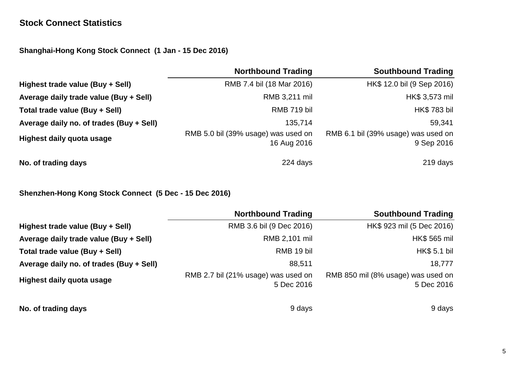### **Stock Connect Statistics**

**Shanghai-Hong Kong Stock Connect (1 Jan - 15 Dec 2016)**

|                                          | <b>Northbound Trading</b>                          | <b>Southbound Trading</b>                         |
|------------------------------------------|----------------------------------------------------|---------------------------------------------------|
| Highest trade value (Buy + Sell)         | RMB 7.4 bil (18 Mar 2016)                          | HK\$ 12.0 bil (9 Sep 2016)                        |
| Average daily trade value (Buy + Sell)   | RMB 3,211 mil                                      | HK\$ 3,573 mil                                    |
| Total trade value (Buy + Sell)           | RMB 719 bil                                        | <b>HK\$783 bil</b>                                |
| Average daily no. of trades (Buy + Sell) | 135,714                                            | 59,341                                            |
| <b>Highest daily quota usage</b>         | RMB 5.0 bil (39% usage) was used on<br>16 Aug 2016 | RMB 6.1 bil (39% usage) was used on<br>9 Sep 2016 |
| No. of trading days                      | 224 days                                           | 219 days                                          |

**Shenzhen-Hong Kong Stock Connect (5 Dec - 15 Dec 2016)**

|                                          | <b>Northbound Trading</b>                         | <b>Southbound Trading</b>                        |
|------------------------------------------|---------------------------------------------------|--------------------------------------------------|
| Highest trade value (Buy + Sell)         | RMB 3.6 bil (9 Dec 2016)                          | HK\$ 923 mil (5 Dec 2016)                        |
| Average daily trade value (Buy + Sell)   | RMB 2,101 mil                                     | HK\$ 565 mil                                     |
| Total trade value (Buy + Sell)           | RMB 19 bil                                        | HK\$ 5.1 bil                                     |
| Average daily no. of trades (Buy + Sell) | 88,511                                            | 18,777                                           |
| <b>Highest daily quota usage</b>         | RMB 2.7 bil (21% usage) was used on<br>5 Dec 2016 | RMB 850 mil (8% usage) was used on<br>5 Dec 2016 |
| No. of trading days                      | 9 days                                            | 9 days                                           |

5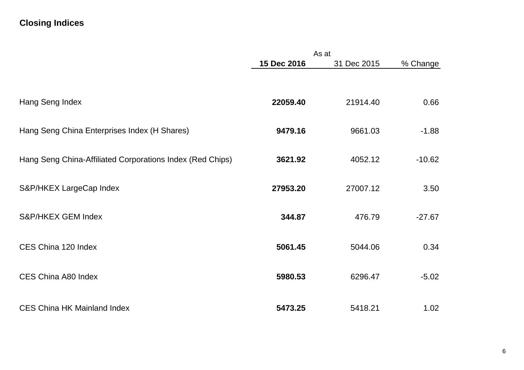# **Closing Indices**

|                                                           | As at       |             |          |
|-----------------------------------------------------------|-------------|-------------|----------|
|                                                           | 15 Dec 2016 | 31 Dec 2015 | % Change |
|                                                           |             |             |          |
| Hang Seng Index                                           | 22059.40    | 21914.40    | 0.66     |
| Hang Seng China Enterprises Index (H Shares)              | 9479.16     | 9661.03     | $-1.88$  |
| Hang Seng China-Affiliated Corporations Index (Red Chips) | 3621.92     | 4052.12     | $-10.62$ |
| S&P/HKEX LargeCap Index                                   | 27953.20    | 27007.12    | 3.50     |
| S&P/HKEX GEM Index                                        | 344.87      | 476.79      | $-27.67$ |
| CES China 120 Index                                       | 5061.45     | 5044.06     | 0.34     |
| CES China A80 Index                                       | 5980.53     | 6296.47     | $-5.02$  |
| <b>CES China HK Mainland Index</b>                        | 5473.25     | 5418.21     | 1.02     |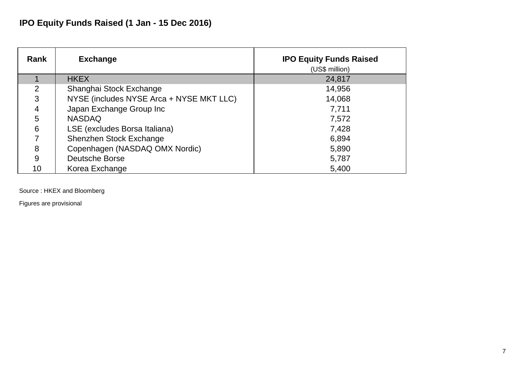# **IPO Equity Funds Raised (1 Jan - 15 Dec 2016)**

| Rank            | <b>Exchange</b>                          | <b>IPO Equity Funds Raised</b><br>(US\$ million) |
|-----------------|------------------------------------------|--------------------------------------------------|
|                 | <b>HKEX</b>                              | 24,817                                           |
| 2               | Shanghai Stock Exchange                  | 14,956                                           |
| 3               | NYSE (includes NYSE Arca + NYSE MKT LLC) | 14,068                                           |
| 4               | Japan Exchange Group Inc                 | 7,711                                            |
| 5               | <b>NASDAQ</b>                            | 7,572                                            |
| $6\phantom{1}6$ | LSE (excludes Borsa Italiana)            | 7,428                                            |
|                 | Shenzhen Stock Exchange                  | 6,894                                            |
| 8               | Copenhagen (NASDAQ OMX Nordic)           | 5,890                                            |
| 9               | <b>Deutsche Borse</b>                    | 5,787                                            |
| 10              | Korea Exchange                           | 5,400                                            |

Source : HKEX and Bloomberg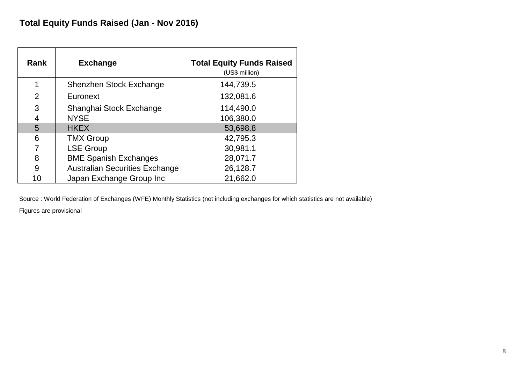| <b>Rank</b>    | <b>Exchange</b>                       | <b>Total Equity Funds Raised</b><br>(US\$ million) |
|----------------|---------------------------------------|----------------------------------------------------|
|                | Shenzhen Stock Exchange               | 144,739.5                                          |
| $\overline{2}$ | Euronext                              | 132,081.6                                          |
| 3              | Shanghai Stock Exchange               | 114,490.0                                          |
| 4              | <b>NYSE</b>                           | 106,380.0                                          |
| 5              | <b>HKEX</b>                           | 53,698.8                                           |
| 6              | <b>TMX Group</b>                      | 42,795.3                                           |
|                | <b>LSE Group</b>                      | 30,981.1                                           |
| 8              | <b>BME Spanish Exchanges</b>          | 28,071.7                                           |
| 9              | <b>Australian Securities Exchange</b> | 26,128.7                                           |
| 10             | Japan Exchange Group Inc              | 21,662.0                                           |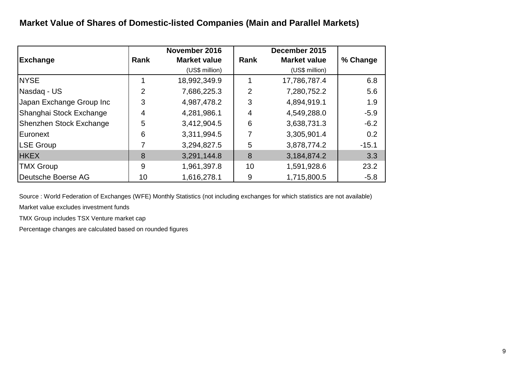# **Market Value of Shares of Domestic-listed Companies (Main and Parallel Markets)**

|                          |             | November 2016       |      | December 2015       |          |
|--------------------------|-------------|---------------------|------|---------------------|----------|
| <b>Exchange</b>          | <b>Rank</b> | <b>Market value</b> | Rank | <b>Market value</b> | % Change |
|                          |             | (US\$ million)      |      | (US\$ million)      |          |
| <b>NYSE</b>              |             | 18,992,349.9        |      | 17,786,787.4        | 6.8      |
| Nasdaq - US              | 2           | 7,686,225.3         | 2    | 7,280,752.2         | 5.6      |
| Japan Exchange Group Inc | 3           | 4,987,478.2         | 3    | 4,894,919.1         | 1.9      |
| Shanghai Stock Exchange  | 4           | 4,281,986.1         | 4    | 4,549,288.0         | $-5.9$   |
| Shenzhen Stock Exchange  | 5           | 3,412,904.5         | 6    | 3,638,731.3         | $-6.2$   |
| Euronext                 | 6           | 3,311,994.5         |      | 3,305,901.4         | 0.2      |
| <b>LSE Group</b>         |             | 3,294,827.5         | 5    | 3,878,774.2         | $-15.1$  |
| <b>HKEX</b>              | 8           | 3,291,144.8         | 8    | 3,184,874.2         | 3.3      |
| <b>TMX Group</b>         | 9           | 1,961,397.8         | 10   | 1,591,928.6         | 23.2     |
| Deutsche Boerse AG       | 10          | 1,616,278.1         | 9    | 1,715,800.5         | $-5.8$   |

Source : World Federation of Exchanges (WFE) Monthly Statistics (not including exchanges for which statistics are not available)

Market value excludes investment funds

TMX Group includes TSX Venture market cap

Percentage changes are calculated based on rounded figures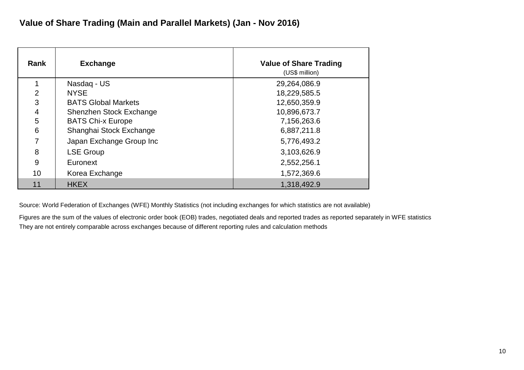| Rank           | <b>Exchange</b>            | <b>Value of Share Trading</b><br>(US\$ million) |
|----------------|----------------------------|-------------------------------------------------|
|                | Nasdag - US                | 29,264,086.9                                    |
| $\overline{2}$ | <b>NYSE</b>                | 18,229,585.5                                    |
| 3              | <b>BATS Global Markets</b> | 12,650,359.9                                    |
| 4              | Shenzhen Stock Exchange    | 10,896,673.7                                    |
| 5              | <b>BATS Chi-x Europe</b>   | 7,156,263.6                                     |
| 6              | Shanghai Stock Exchange    | 6,887,211.8                                     |
| 7              | Japan Exchange Group Inc   | 5,776,493.2                                     |
| 8              | <b>LSE Group</b>           | 3,103,626.9                                     |
| 9              | Euronext                   | 2,552,256.1                                     |
| 10             | Korea Exchange             | 1,572,369.6                                     |
| 11             | <b>HKEX</b>                | 1,318,492.9                                     |

Figures are the sum of the values of electronic order book (EOB) trades, negotiated deals and reported trades as reported separately in WFE statistics They are not entirely comparable across exchanges because of different reporting rules and calculation methods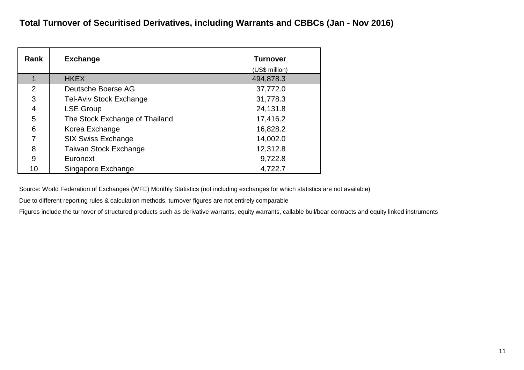| Rank           | <b>Exchange</b>                | <b>Turnover</b><br>(US\$ million) |
|----------------|--------------------------------|-----------------------------------|
|                | <b>HKEX</b>                    | 494,878.3                         |
| $\overline{2}$ | Deutsche Boerse AG             | 37,772.0                          |
| 3              | <b>Tel-Aviv Stock Exchange</b> | 31,778.3                          |
| 4              | <b>LSE Group</b>               | 24,131.8                          |
| 5              | The Stock Exchange of Thailand | 17,416.2                          |
| 6              | Korea Exchange                 | 16,828.2                          |
| 7              | <b>SIX Swiss Exchange</b>      | 14,002.0                          |
| 8              | <b>Taiwan Stock Exchange</b>   | 12,312.8                          |
| 9              | Euronext                       | 9,722.8                           |
| 10             | Singapore Exchange             | 4,722.7                           |

Due to different reporting rules & calculation methods, turnover figures are not entirely comparable

Figures include the turnover of structured products such as derivative warrants, equity warrants, callable bull/bear contracts and equity linked instruments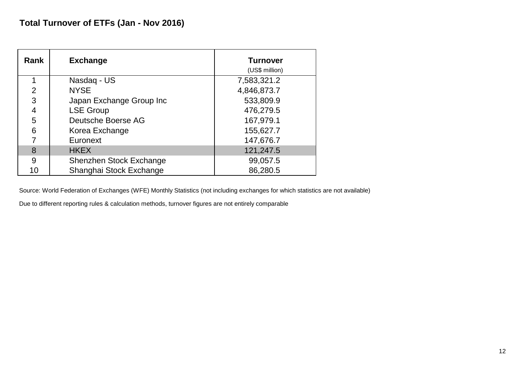| Rank           | <b>Exchange</b>          | <b>Turnover</b><br>(US\$ million) |
|----------------|--------------------------|-----------------------------------|
|                | Nasdag - US              | 7,583,321.2                       |
| $\overline{2}$ | <b>NYSE</b>              | 4,846,873.7                       |
| 3              | Japan Exchange Group Inc | 533,809.9                         |
| 4              | <b>LSE Group</b>         | 476,279.5                         |
| 5              | Deutsche Boerse AG       | 167,979.1                         |
| 6              | Korea Exchange           | 155,627.7                         |
|                | Euronext                 | 147,676.7                         |
| 8              | <b>HKEX</b>              | 121,247.5                         |
| 9              | Shenzhen Stock Exchange  | 99,057.5                          |
| 10             | Shanghai Stock Exchange  | 86,280.5                          |

Due to different reporting rules & calculation methods, turnover figures are not entirely comparable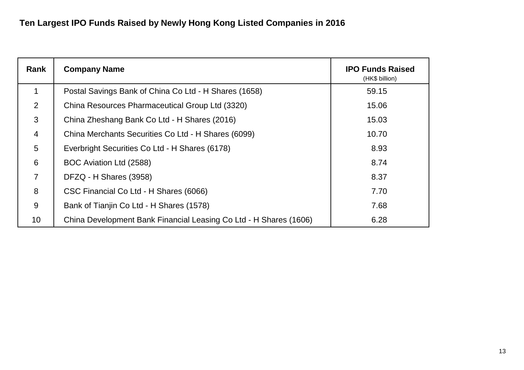| Rank           | <b>Company Name</b>                                               | <b>IPO Funds Raised</b><br>(HK\$ billion) |
|----------------|-------------------------------------------------------------------|-------------------------------------------|
| 1              | Postal Savings Bank of China Co Ltd - H Shares (1658)             | 59.15                                     |
| 2              | China Resources Pharmaceutical Group Ltd (3320)                   | 15.06                                     |
| 3              | China Zheshang Bank Co Ltd - H Shares (2016)                      | 15.03                                     |
| $\overline{4}$ | China Merchants Securities Co Ltd - H Shares (6099)               | 10.70                                     |
| 5              | Everbright Securities Co Ltd - H Shares (6178)                    | 8.93                                      |
| 6              | BOC Aviation Ltd (2588)                                           | 8.74                                      |
| $\overline{7}$ | DFZQ - H Shares (3958)                                            | 8.37                                      |
| 8              | CSC Financial Co Ltd - H Shares (6066)                            | 7.70                                      |
| 9              | Bank of Tianjin Co Ltd - H Shares (1578)                          | 7.68                                      |
| 10             | China Development Bank Financial Leasing Co Ltd - H Shares (1606) | 6.28                                      |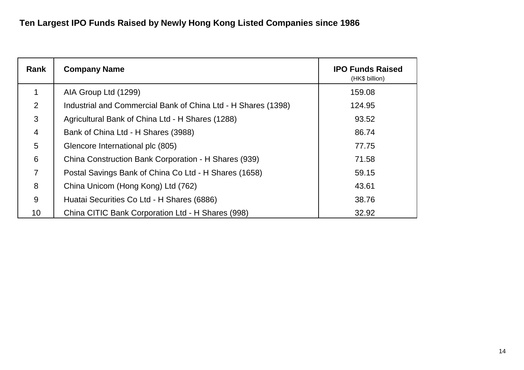| Rank           | <b>Company Name</b>                                           | <b>IPO Funds Raised</b><br>(HK\$ billion) |
|----------------|---------------------------------------------------------------|-------------------------------------------|
| 1              | AIA Group Ltd (1299)                                          | 159.08                                    |
| 2              | Industrial and Commercial Bank of China Ltd - H Shares (1398) | 124.95                                    |
| 3              | Agricultural Bank of China Ltd - H Shares (1288)              | 93.52                                     |
| $\overline{4}$ | Bank of China Ltd - H Shares (3988)                           | 86.74                                     |
| 5              | Glencore International plc (805)                              | 77.75                                     |
| 6              | China Construction Bank Corporation - H Shares (939)          | 71.58                                     |
| $\overline{7}$ | Postal Savings Bank of China Co Ltd - H Shares (1658)         | 59.15                                     |
| 8              | China Unicom (Hong Kong) Ltd (762)                            | 43.61                                     |
| 9              | Huatai Securities Co Ltd - H Shares (6886)                    | 38.76                                     |
| 10             | China CITIC Bank Corporation Ltd - H Shares (998)             | 32.92                                     |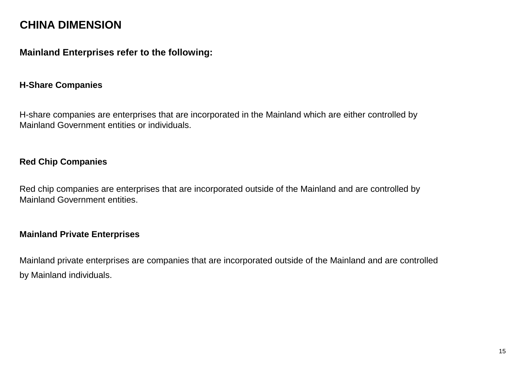# **CHINA DIMENSION**

## **Mainland Enterprises refer to the following:**

#### **H-Share Companies**

H-share companies are enterprises that are incorporated in the Mainland which are either controlled by Mainland Government entities or individuals.

### **Red Chip Companies**

Red chip companies are enterprises that are incorporated outside of the Mainland and are controlled by Mainland Government entities.

#### **Mainland Private Enterprises**

Mainland private enterprises are companies that are incorporated outside of the Mainland and are controlled by Mainland individuals.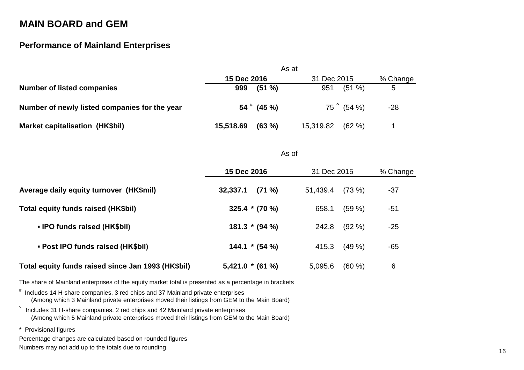# **MAIN BOARD and GEM**

### **Performance of Mainland Enterprises**

|                                               | As at               |                     |          |
|-----------------------------------------------|---------------------|---------------------|----------|
|                                               | 15 Dec 2016         | 31 Dec 2015         | % Change |
| <b>Number of listed companies</b>             | $(51 \%)$<br>999    | (51 %)<br>951       | 5        |
| Number of newly listed companies for the year | $54$ $^{*}$ (45 %)  | $75^\circ$ (54 %)   | $-28$    |
| <b>Market capitalisation (HK\$bil)</b>        | 15,518.69<br>(63 %) | 15,319.82<br>(62 %) |          |

As of

|                                                    | 15 Dec 2016           | 31 Dec 2015        | % Change |
|----------------------------------------------------|-----------------------|--------------------|----------|
| Average daily equity turnover (HK\$mil)            | $(71 \%)$<br>32,337.1 | (73%)<br>51,439.4  | $-37$    |
| Total equity funds raised (HK\$bil)                | $325.4 * (70%)$       | (59%<br>658.1      | -51      |
| • IPO funds raised (HK\$bil)                       | $181.3 * (94 %)$      | $(92\% )$<br>242.8 | $-25$    |
| • Post IPO funds raised (HK\$bil)                  | $144.1 * (54%)$       | (49%<br>415.3      | $-65$    |
| Total equity funds raised since Jan 1993 (HK\$bil) | $5,421.0*(61%)$       | (60 %)<br>5,095.6  | 6        |

The share of Mainland enterprises of the equity market total is presented as a percentage in brackets

# Includes 14 H-share companies, 3 red chips and 37 Mainland private enterprises (Among which 3 Mainland private enterprises moved their listings from GEM to the Main Board)

 $\degree$  Includes 31 H-share companies, 2 red chips and 42 Mainland private enterprises (Among which 5 Mainland private enterprises moved their listings from GEM to the Main Board)

\* Provisional figures

Percentage changes are calculated based on rounded figures

Numbers may not add up to the totals due to rounding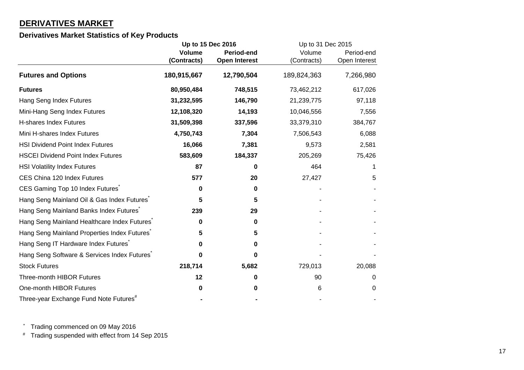## **DERIVATIVES MARKET**

#### **Derivatives Market Statistics of Key Products**

|                                                    | Up to 15 Dec 2016 |                      | Up to 31 Dec 2015 |               |  |            |
|----------------------------------------------------|-------------------|----------------------|-------------------|---------------|--|------------|
|                                                    | <b>Volume</b>     | <b>Period-end</b>    |                   | Volume        |  | Period-end |
|                                                    | (Contracts)       | <b>Open Interest</b> | (Contracts)       | Open Interest |  |            |
| <b>Futures and Options</b>                         | 180,915,667       | 12,790,504           | 189,824,363       | 7,266,980     |  |            |
| <b>Futures</b>                                     | 80,950,484        | 748,515              | 73,462,212        | 617,026       |  |            |
| Hang Seng Index Futures                            | 31,232,595        | 146,790              | 21,239,775        | 97,118        |  |            |
| Mini-Hang Seng Index Futures                       | 12,108,320        | 14,193               | 10,046,556        | 7,556         |  |            |
| <b>H-shares Index Futures</b>                      | 31,509,398        | 337,596              | 33,379,310        | 384,767       |  |            |
| Mini H-shares Index Futures                        | 4,750,743         | 7,304                | 7,506,543         | 6,088         |  |            |
| <b>HSI Dividend Point Index Futures</b>            | 16,066            | 7,381                | 9,573             | 2,581         |  |            |
| <b>HSCEI Dividend Point Index Futures</b>          | 583,609           | 184,337              | 205,269           | 75,426        |  |            |
| <b>HSI Volatility Index Futures</b>                | 87                | 0                    | 464               | 1             |  |            |
| CES China 120 Index Futures                        | 577               | 20                   | 27,427            | 5             |  |            |
| CES Gaming Top 10 Index Futures                    | 0                 | 0                    |                   |               |  |            |
| Hang Seng Mainland Oil & Gas Index Futures         | 5                 | 5                    |                   |               |  |            |
| Hang Seng Mainland Banks Index Futures             | 239               | 29                   |                   |               |  |            |
| Hang Seng Mainland Healthcare Index Futures        | 0                 | 0                    |                   |               |  |            |
| Hang Seng Mainland Properties Index Futures        | 5                 | 5                    |                   |               |  |            |
| Hang Seng IT Hardware Index Futures                | 0                 | 0                    |                   |               |  |            |
| Hang Seng Software & Services Index Futures        | 0                 | $\Omega$             |                   |               |  |            |
| <b>Stock Futures</b>                               | 218,714           | 5,682                | 729,013           | 20,088        |  |            |
| <b>Three-month HIBOR Futures</b>                   | 12                | 0                    | 90                | 0             |  |            |
| One-month HIBOR Futures                            | 0                 | 0                    | 6                 | 0             |  |            |
| Three-year Exchange Fund Note Futures <sup>#</sup> |                   |                      |                   |               |  |            |

\* Trading commenced on 09 May 2016

# Trading suspended with effect from 14 Sep 2015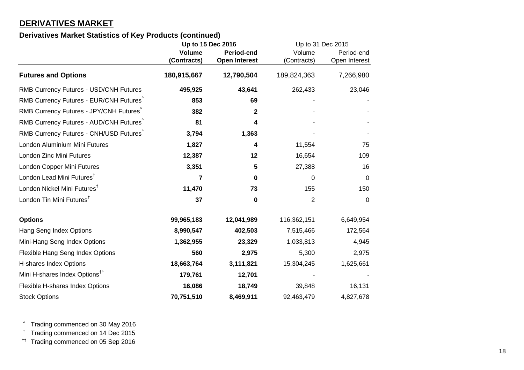## **DERIVATIVES MARKET**

### **Derivatives Market Statistics of Key Products (continued)**

|                                                     |               | Up to 15 Dec 2016    | Up to 31 Dec 2015 |                |
|-----------------------------------------------------|---------------|----------------------|-------------------|----------------|
|                                                     | <b>Volume</b> | Period-end           | Volume            | Period-end     |
|                                                     | (Contracts)   | <b>Open Interest</b> | (Contracts)       | Open Interest  |
| <b>Futures and Options</b>                          | 180,915,667   | 12,790,504           | 189,824,363       | 7,266,980      |
| RMB Currency Futures - USD/CNH Futures              | 495,925       | 43,641               | 262,433           | 23,046         |
| RMB Currency Futures - EUR/CNH Futures              | 853           | 69                   |                   |                |
| RMB Currency Futures - JPY/CNH Futures <sup>^</sup> | 382           | $\mathbf 2$          |                   |                |
| RMB Currency Futures - AUD/CNH Futures              | 81            | 4                    |                   |                |
| RMB Currency Futures - CNH/USD Futures              | 3,794         | 1,363                |                   |                |
| London Aluminium Mini Futures                       | 1,827         | 4                    | 11,554            | 75             |
| London Zinc Mini Futures                            | 12,387        | 12                   | 16,654            | 109            |
| London Copper Mini Futures                          | 3,351         | 5                    | 27,388            | 16             |
| London Lead Mini Futures <sup>†</sup>               | 7             | $\mathbf 0$          | 0                 | $\overline{0}$ |
| London Nickel Mini Futures <sup>†</sup>             | 11,470        | 73                   | 155               | 150            |
| London Tin Mini Futures <sup>†</sup>                | 37            | $\mathbf 0$          | 2                 | $\mathbf 0$    |
| <b>Options</b>                                      | 99,965,183    | 12,041,989           | 116,362,151       | 6,649,954      |
| Hang Seng Index Options                             | 8,990,547     | 402,503              | 7,515,466         | 172,564        |
| Mini-Hang Seng Index Options                        | 1,362,955     | 23,329               | 1,033,813         | 4,945          |
| Flexible Hang Seng Index Options                    | 560           | 2,975                | 5,300             | 2,975          |
| H-shares Index Options                              | 18,663,764    | 3,111,821            | 15,304,245        | 1,625,661      |
| Mini H-shares Index Options <sup>11</sup>           | 179,761       | 12,701               |                   |                |
| Flexible H-shares Index Options                     | 16,086        | 18,749               | 39,848            | 16,131         |
| <b>Stock Options</b>                                | 70,751,510    | 8,469,911            | 92,463,479        | 4,827,678      |

^ Trading commenced on 30 May 2016

† Trading commenced on 14 Dec 2015

†† Trading commenced on 05 Sep 2016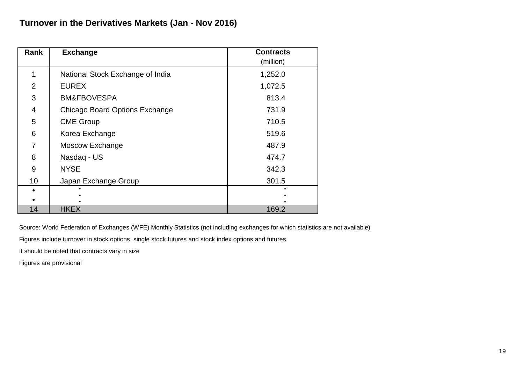| Rank           | <b>Exchange</b>                       | <b>Contracts</b> |
|----------------|---------------------------------------|------------------|
|                |                                       | (million)        |
|                | National Stock Exchange of India      | 1,252.0          |
| $\overline{2}$ | <b>EUREX</b>                          | 1,072.5          |
| 3              | <b>BM&amp;FBOVESPA</b>                | 813.4            |
| 4              | <b>Chicago Board Options Exchange</b> | 731.9            |
| 5              | <b>CME Group</b>                      | 710.5            |
| 6              | Korea Exchange                        | 519.6            |
| 7              | Moscow Exchange                       | 487.9            |
| 8              | Nasdaq - US                           | 474.7            |
| 9              | <b>NYSE</b>                           | 342.3            |
| 10             | Japan Exchange Group                  | 301.5            |
|                |                                       |                  |
|                |                                       |                  |
| 14             | <b>HKEX</b>                           | 169.2            |

Figures include turnover in stock options, single stock futures and stock index options and futures.

It should be noted that contracts vary in size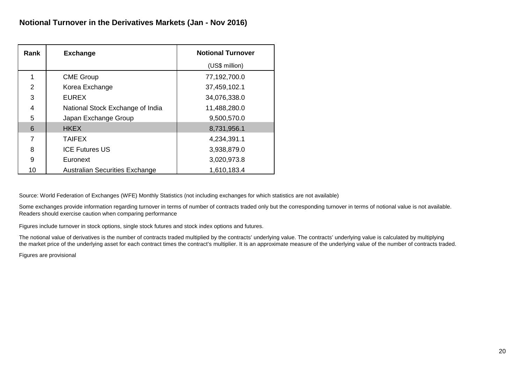| Rank           | <b>Exchange</b>                       | <b>Notional Turnover</b> |
|----------------|---------------------------------------|--------------------------|
|                |                                       | (US\$ million)           |
|                | <b>CME Group</b>                      | 77,192,700.0             |
| $\overline{2}$ | Korea Exchange                        | 37,459,102.1             |
| 3              | <b>EUREX</b>                          | 34,076,338.0             |
| 4              | National Stock Exchange of India      | 11,488,280.0             |
| 5              | Japan Exchange Group                  | 9,500,570.0              |
| 6              | <b>HKEX</b>                           | 8,731,956.1              |
| 7              | <b>TAIFEX</b>                         | 4,234,391.1              |
| 8              | <b>ICE Futures US</b>                 | 3,938,879.0              |
| 9              | Euronext                              | 3,020,973.8              |
| 10             | <b>Australian Securities Exchange</b> | 1,610,183.4              |

Some exchanges provide information regarding turnover in terms of number of contracts traded only but the corresponding turnover in terms of notional value is not available. Readers should exercise caution when comparing performance

Figures include turnover in stock options, single stock futures and stock index options and futures.

The notional value of derivatives is the number of contracts traded multiplied by the contracts' underlying value. The contracts' underlying value is calculated by multiplying the market price of the underlying asset for each contract times the contract's multiplier. It is an approximate measure of the underlying value of the number of contracts traded.